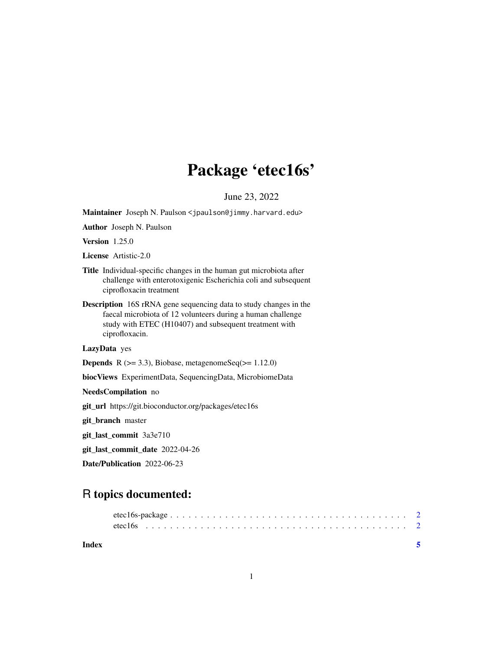## Package 'etec16s'

June 23, 2022

<span id="page-0-0"></span>Maintainer Joseph N. Paulson <jpaulson@jimmy.harvard.edu>

Author Joseph N. Paulson

Version 1.25.0

License Artistic-2.0

- Title Individual-specific changes in the human gut microbiota after challenge with enterotoxigenic Escherichia coli and subsequent ciprofloxacin treatment
- Description 16S rRNA gene sequencing data to study changes in the faecal microbiota of 12 volunteers during a human challenge study with ETEC (H10407) and subsequent treatment with ciprofloxacin.

LazyData yes

**Depends** R  $(>= 3.3)$ , Biobase, metagenomeSeq $(>= 1.12.0)$ 

biocViews ExperimentData, SequencingData, MicrobiomeData

NeedsCompilation no

git\_url https://git.bioconductor.org/packages/etec16s

git\_branch master

git\_last\_commit 3a3e710

git\_last\_commit\_date 2022-04-26

Date/Publication 2022-06-23

### R topics documented:

| Index |  |  |  |  |  |  |  |  |  |  |  |  |  |  |  |  |  |  |
|-------|--|--|--|--|--|--|--|--|--|--|--|--|--|--|--|--|--|--|

1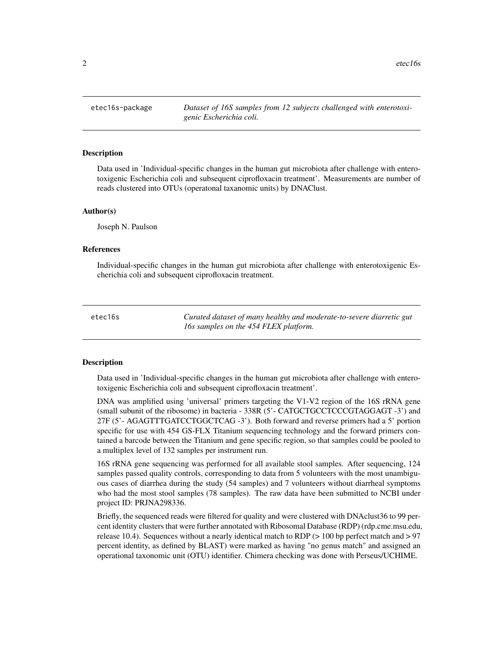<span id="page-1-0"></span>2 etec 16s

etec16s-package *Dataset of 16S samples from 12 subjects challenged with enterotoxigenic Escherichia coli.*

#### Description

Data used in 'Individual-specific changes in the human gut microbiota after challenge with enterotoxigenic Escherichia coli and subsequent ciprofloxacin treatment'. Measurements are number of reads clustered into OTUs (operatonal taxanomic units) by DNAClust.

#### Author(s)

Joseph N. Paulson

#### References

Individual-specific changes in the human gut microbiota after challenge with enterotoxigenic Escherichia coli and subsequent ciprofloxacin treatment.

etec16s *Curated dataset of many healthy and moderate-to-severe diarretic gut 16s samples on the 454 FLEX platform.*

#### **Description**

Data used in 'Individual-specific changes in the human gut microbiota after challenge with enterotoxigenic Escherichia coli and subsequent ciprofloxacin treatment'.

DNA was amplified using 'universal' primers targeting the V1-V2 region of the 16S rRNA gene (small subunit of the ribosome) in bacteria - 338R (5'- CATGCTGCCTCCCGTAGGAGT -3') and 27F (5'- AGAGTTTGATCCTGGCTCAG -3'). Both forward and reverse primers had a 5' portion specific for use with 454 GS-FLX Titanium sequencing technology and the forward primers contained a barcode between the Titanium and gene specific region, so that samples could be pooled to a multiplex level of 132 samples per instrument run.

16S rRNA gene sequencing was performed for all available stool samples. After sequencing, 124 samples passed quality controls, corresponding to data from 5 volunteers with the most unambiguous cases of diarrhea during the study (54 samples) and 7 volunteers without diarrheal symptoms who had the most stool samples (78 samples). The raw data have been submitted to NCBI under project ID: PRJNA298336.

Briefly, the sequenced reads were filtered for quality and were clustered with DNAclust36 to 99 percent identity clusters that were further annotated with Ribosomal Database (RDP) (rdp.cme.msu.edu, release 10.4). Sequences without a nearly identical match to RDP ( $> 100$  bp perfect match and  $> 97$ percent identity, as defined by BLAST) were marked as having "no genus match" and assigned an operational taxonomic unit (OTU) identifier. Chimera checking was done with Perseus/UCHIME.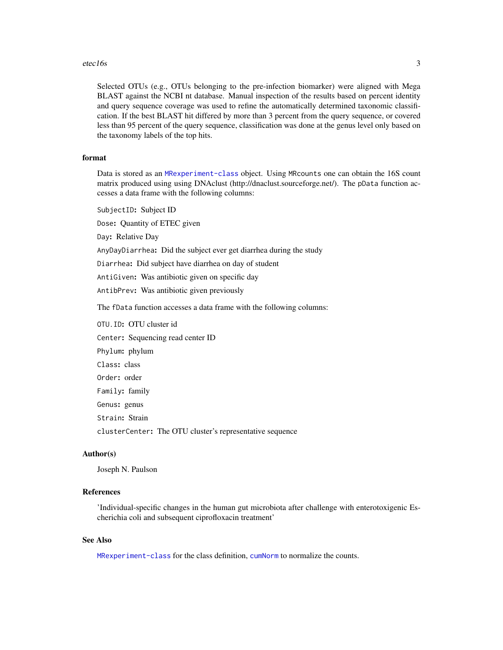#### <span id="page-2-0"></span>etec16s 3

Selected OTUs (e.g., OTUs belonging to the pre-infection biomarker) were aligned with Mega BLAST against the NCBI nt database. Manual inspection of the results based on percent identity and query sequence coverage was used to refine the automatically determined taxonomic classification. If the best BLAST hit differed by more than 3 percent from the query sequence, or covered less than 95 percent of the query sequence, classification was done at the genus level only based on the taxonomy labels of the top hits.

#### format

Data is stored as an [MRexperiment-class](#page-0-0) object. Using MRcounts one can obtain the 16S count matrix produced using using DNAclust (http://dnaclust.sourceforge.net/). The pData function accesses a data frame with the following columns:

SubjectID: Subject ID

Dose: Quantity of ETEC given

Day: Relative Day

AnyDayDiarrhea: Did the subject ever get diarrhea during the study

Diarrhea: Did subject have diarrhea on day of student

AntiGiven: Was antibiotic given on specific day

AntibPrev: Was antibiotic given previously

The fData function accesses a data frame with the following columns:

OTU.ID: OTU cluster id Center: Sequencing read center ID Phylum: phylum Class: class Order: order Family: family Genus: genus Strain: Strain clusterCenter: The OTU cluster's representative sequence

#### Author(s)

Joseph N. Paulson

#### References

'Individual-specific changes in the human gut microbiota after challenge with enterotoxigenic Escherichia coli and subsequent ciprofloxacin treatment'

#### See Also

[MRexperiment-class](#page-0-0) for the class definition, [cumNorm](#page-0-0) to normalize the counts.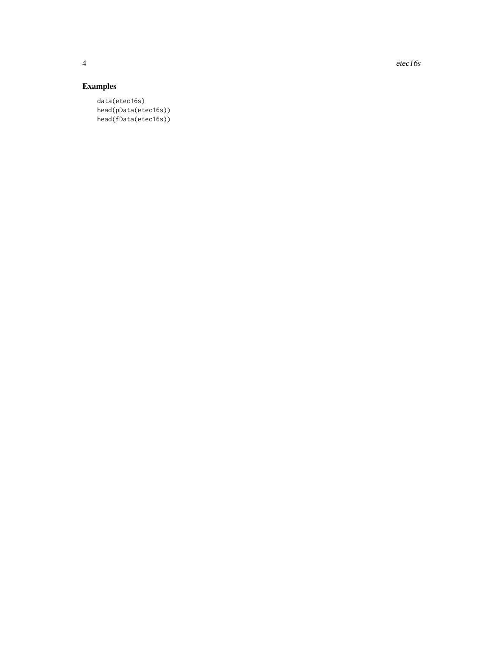4 etec 16s

#### Examples

data(etec16s) head(pData(etec16s)) head(fData(etec16s))